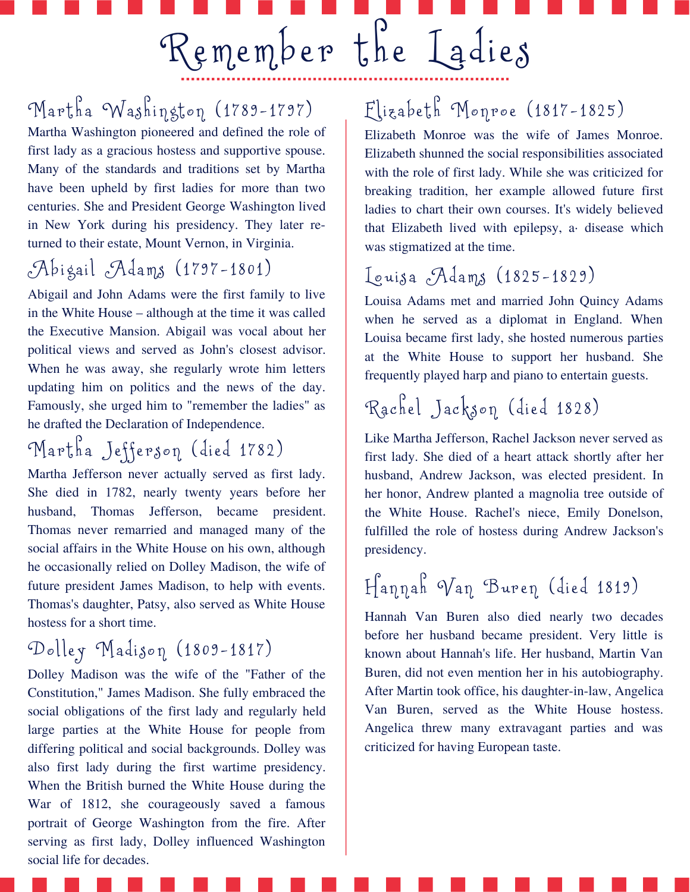#### $M$ artha Washington (1789-1797)

Martha Washington pioneered and defined the role of first lady as a gracious hostess and supportive spouse. Many of the standards and traditions set by Martha have been upheld by first ladies for more than two centuries. She and President George Washington lived in New York during his presidency. They later re‐ turned to their estate, Mount Vernon, in Virginia.

#### Abigail Adams (1797-1801)

Abigail and John Adams were the first family to live in the White House – although at the time it was called the Executive Mansion. Abigail was vocal about her political views and served as John's closest advisor. When he was away, she regularly wrote him letters updating him on politics and the news of the day. Famously, she urged him to "remember the ladies" as he drafted the Declaration of Independence.

#### Martha Jefferson (died 1782)

Martha Jefferson never actually served as first lady. She died in 1782, nearly twenty years before her husband, Thomas Jefferson, became president. Thomas never remarried and managed many of the social affairs in the White House on his own, although he occasionally relied on Dolley Madison, the wife of future president James Madison, to help with events. Thomas's daughter, Patsy, also served as White House hostess for a short time.

# $D$ olley Madison (1809-1817)

Dolley Madison was the wife of the "Father of the Constitution," James Madison. She fully embraced the social obligations of the first lady and regularly held large parties at the White House for people from differing political and social backgrounds. Dolley was also first lady during the first wartime presidency. When the British burned the White House during the War of 1812, she courageously saved a famous portrait of George Washington from the fire. After serving as first lady, Dolley influenced Washington social life for decades.

## $E$ lizabeth Monroe (1817-1825)

Elizabeth Monroe was the wife of James Monroe. Elizabeth shunned the social responsibilities associated with the role of first lady. While she was criticized for breaking tradition, her example allowed future first ladies to chart their own courses. It's widely believed that Elizabeth lived with epilepsy, a· disease which was stigmatized at the time.

#### $I_{\text{ouisa}}$   $A_{\text{dams}}$  (1825-1829)

Louisa Adams met and married John Quincy Adams when he served as a diplomat in England. When Louisa became first lady, she hosted numerous parties at the White House to support her husband. She frequently played harp and piano to entertain guests.

# Rachel Jackson (died 1828)

Like Martha Jefferson, Rachel Jackson never served as first lady. She died of a heart attack shortly after her husband, Andrew Jackson, was elected president. In her honor, Andrew planted a magnolia tree outside of the White House. Rachel's niece, Emily Donelson, fulfilled the role of hostess during Andrew Jackson's presidency.

# $\lim_{n \to \infty} \int \sqrt[n]{a_n}$  Buren (died 1819)

Hannah Van Buren also died nearly two decades before her husband became president. Very little is known about Hannah's life. Her husband, Martin Van Buren, did not even mention her in his autobiography. After Martin took office, his daughter-in-law, Angelica Van Buren, served as the White House hostess. Angelica threw many extravagant parties and was criticized for having European taste.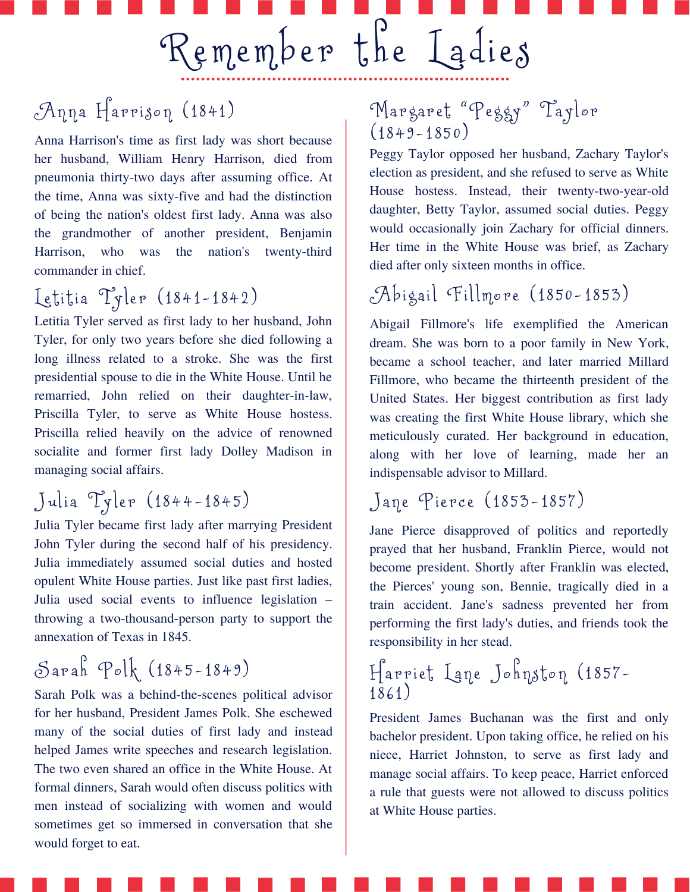# $_{c}A$ nna Harrison (1841)

Anna Harrison's time as first lady was short because her husband, William Henry Harrison, died from pneumonia thirty-two days after assuming office. At the time, Anna was sixty-five and had the distinction of being the nation's oldest first lady. Anna was also the grandmother of another president, Benjamin Harrison, who was the nation's twenty-third commander in chief.

#### Letitia Tyler (1841-1842)

Letitia Tyler served as first lady to her husband, John Tyler, for only two years before she died following a long illness related to a stroke. She was the first presidential spouse to die in the White House. Until he remarried, John relied on their daughter-in-law, Priscilla Tyler, to serve as White House hostess. Priscilla relied heavily on the advice of renowned socialite and former first lady Dolley Madison in managing social affairs.

## $J$ ulia Tyler (1844-1845)

Julia Tyler became first lady after marrying President John Tyler during the second half of his presidency. Julia immediately assumed social duties and hosted opulent White House parties. Just like past first ladies, Julia used social events to influence legislation – throwing a two-thousand-person party to support the annexation of Texas in 1845.

# $S$ arah Polk (1845-1849)

Sarah Polk was a behind-the-scenes political advisor for her husband, President James Polk. She eschewed many of the social duties of first lady and instead helped James write speeches and research legislation. The two even shared an office in the White House. At formal dinners, Sarah would often discuss politics with men instead of socializing with women and would sometimes get so immersed in conversation that she would forget to eat.

#### 'Margaret 'Yeggy Laylor  $(1849 - 1850)$

Peggy Taylor opposed her husband, Zachary Taylor's election as president, and she refused to serve as White House hostess. Instead, their twenty-two-year-old daughter, Betty Taylor, assumed social duties. Peggy would occasionally join Zachary for official dinners. Her time in the White House was brief, as Zachary died after only sixteen months in office.

## $_{c}$ Abigail Fillmore (1850-1853)

Abigail Fillmore's life exemplified the American dream. She was born to a poor family in New York, became a school teacher, and later married Millard Fillmore, who became the thirteenth president of the United States. Her biggest contribution as first lady was creating the first White House library, which she meticulously curated. Her background in education, along with her love of learning, made her an indispensable advisor to Millard.

#### Jane Pierce (1853-1857)

Jane Pierce disapproved of politics and reportedly prayed that her husband, Franklin Pierce, would not become president. Shortly after Franklin was elected, the Pierces' young son, Bennie, tragically died in a train accident. Jane's sadness prevented her from performing the first lady's duties, and friends took the responsibility in her stead.

#### $H$ arriet, Lane Johnston (1857-1 8 6 1 )

President James Buchanan was the first and only bachelor president. Upon taking office, he relied on his niece, Harriet Johnston, to serve as first lady and manage social affairs. To keep peace, Harriet enforced a rule that guests were not allowed to discuss politics at White House parties.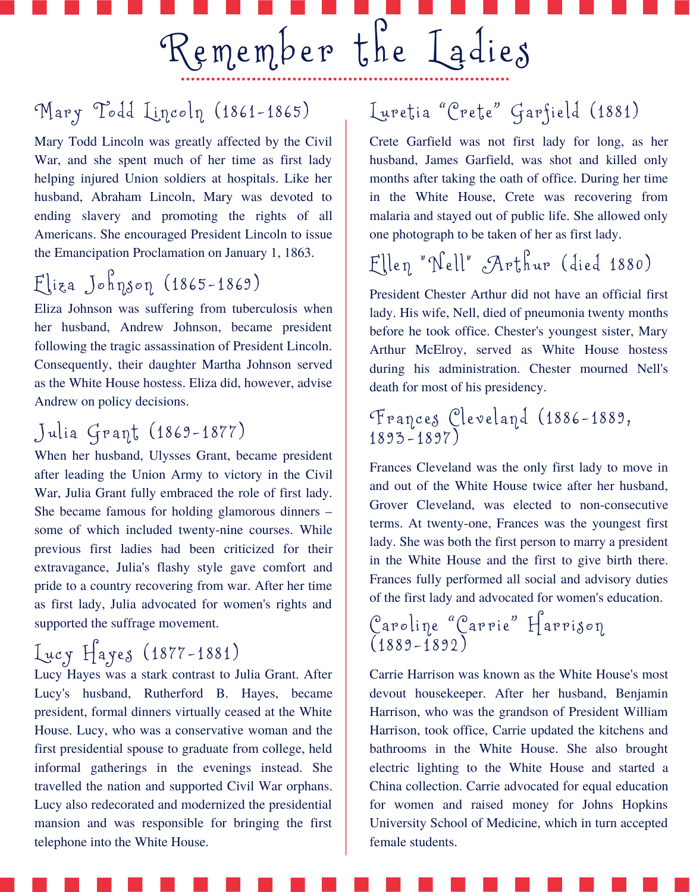#### $M$ ary Todd Lincoln (1861-1865)

Mary Todd Lincoln was greatly affected by the Civil War, and she spent much of her time as first lady helping injured Union soldiers at hospitals. Like her husband, Abraham Lincoln, Mary was devoted to ending slavery and promoting the rights of all Americans. She encouraged President Lincoln to issue the Emancipation Proclamation on January 1, 1863.

## $F$ liza Johnson (1865-1869)

Eliza Johnson was suffering from tuberculosis when her husband, Andrew Johnson, became president following the tragic assassination of President Lincoln. Consequently, their daughter Martha Johnson served as the White House hostess. Eliza did, however, advise Andrew on policy decisions.

#### Julia Grant (1869-1877)

When her husband, Ulysses Grant, became president after leading the Union Army to victory in the Civil War, Julia Grant fully embraced the role of first lady. She became famous for holding glamorous dinners – some of which included twenty-nine courses. While previous first ladies had been criticized for their extravagance, Julia's flashy style gave comfort and pride to a country recovering from war. After her time as first lady, Julia advocated for women's rights and supported the suffrage movement.

# Lucy Hayes (1877-1881)

Lucy Hayes was a stark contrast to Julia Grant. After Lucy's husband, Rutherford B. Hayes, became president, formal dinners virtually ceased at the White House. Lucy, who was a conservative woman and the first presidential spouse to graduate from college, held informal gatherings in the evenings instead. She travelled the nation and supported Civil War orphans. Lucy also redecorated and modernized the presidential mansion and was responsible for bringing the first telephone into the White House.

#### Luretia Crete Garjield (1881)

Crete Garfield was not first lady for long, as her husband, James Garfield, was shot and killed only months after taking the oath of office. During her time in the White House, Crete was recovering from malaria and stayed out of public life. She allowed only one photograph to be taken of her as first lady.

# Lllen Nell Arthur (died 1880)

President Chester Arthur did not have an official first lady. His wife, Nell, died of pneumonia twenty months before he took office. Chester's youngest sister, Mary Arthur McElroy, served as White House hostess during his administration. Chester mourned Nell's death for most of his presidency.

#### 'Frances Cleveland (1886-1889, 1 8 93-1 8 9 7 )

Frances Cleveland was the only first lady to move in and out of the White House twice after her husband, Grover Cleveland, was elected to non-consecutive terms. At twenty-one, Frances was the youngest first lady. She was both the first person to marry a president in the White House and the first to give birth there. Frances fully performed all social and advisory duties of the first lady and advocated for women's education.

#### Caroline Carrie Harrison  $(1889 - 1892)$

Carrie Harrison was known as the White House's most devout housekeeper. After her husband, Benjamin Harrison, who was the grandson of President William Harrison, took office, Carrie updated the kitchens and bathrooms in the White House. She also brought electric lighting to the White House and started a China collection. Carrie advocated for equal education for women and raised money for Johns Hopkins University School of Medicine, which in turn accepted female students.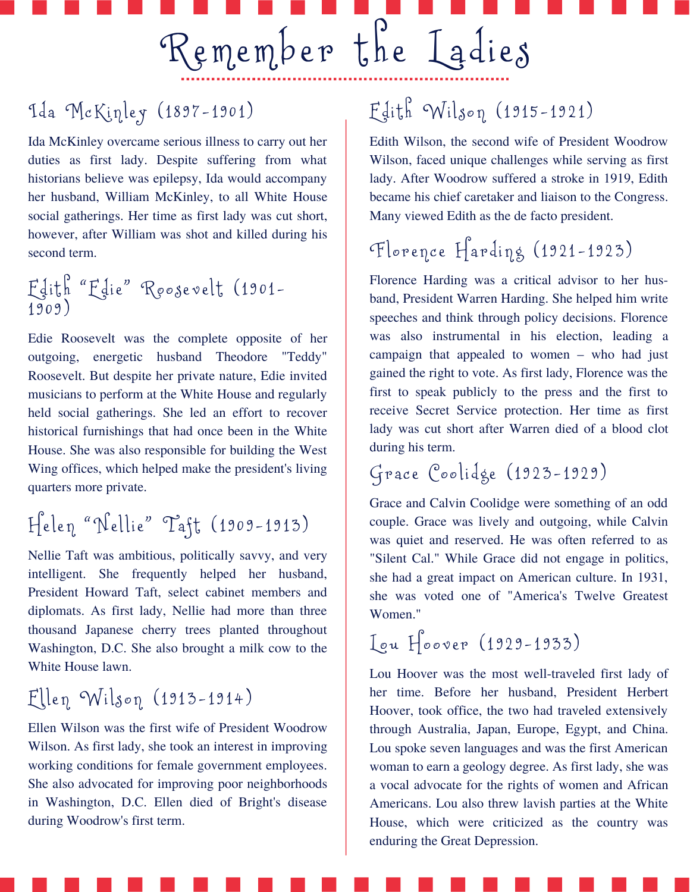## 1da McKinley (1897-1901)

Ida McKinley overcame serious illness to carry out her duties as first lady. Despite suffering from what historians believe was epilepsy, Ida would accompany her husband, William McKinley, to all White House social gatherings. Her time as first lady was cut short, however, after William was shot and killed during his second term.

#### Ldith Ldie Koosevelt (1901- $1909)$

Edie Roosevelt was the complete opposite of her outgoing, energetic husband Theodore "Teddy" Roosevelt. But despite her private nature, Edie invited musicians to perform at the White House and regularly held social gatherings. She led an effort to recover historical furnishings that had once been in the White House. She was also responsible for building the West Wing offices, which helped make the president's living quarters more private.

# Helen Nellie Lajt (1909–1913)

Nellie Taft was ambitious, politically savvy, and very intelligent. She frequently helped her husband, President Howard Taft, select cabinet members and diplomats. As first lady, Nellie had more than three thousand Japanese cherry trees planted throughout Washington, D.C. She also brought a milk cow to the White House lawn.

# $E$ llen Wilson (1913-1914)

Ellen Wilson was the first wife of President Woodrow Wilson. As first lady, she took an interest in improving working conditions for female government employees. She also advocated for improving poor neighborhoods in Washington, D.C. Ellen died of Bright's disease during Woodrow's first term.

# $F \cdot \text{d}$  ith Wilson (1915-1921)

Edith Wilson, the second wife of President Woodrow Wilson, faced unique challenges while serving as first lady. After Woodrow suffered a stroke in 1919, Edith became his chief caretaker and liaison to the Congress. Many viewed Edith as the de facto president.

# $Flo$ rence  $\operatorname{\text{Farg}}$  (1921-1923)

Florence Harding was a critical advisor to her hus‐ band, President Warren Harding. She helped him write speeches and think through policy decisions. Florence was also instrumental in his election, leading a campaign that appealed to women – who had just gained the right to vote. As first lady, Florence was the first to speak publicly to the press and the first to receive Secret Service protection. Her time as first lady was cut short after Warren died of a blood clot during his term.

## Grace Coolidge (1923-1929)

Grace and Calvin Coolidge were something of an odd couple. Grace was lively and outgoing, while Calvin was quiet and reserved. He was often referred to as "Silent Cal." While Grace did not engage in politics, she had a great impact on American culture. In 1931, she was voted one of "America's Twelve Greatest Women."

# $I$ ou  $f$ oover  $(1929-1933)$

Lou Hoover was the most well-traveled first lady of her time. Before her husband, President Herbert Hoover, took office, the two had traveled extensively through Australia, Japan, Europe, Egypt, and China. Lou spoke seven languages and was the first American woman to earn a geology degree. As first lady, she was a vocal advocate for the rights of women and African Americans. Lou also threw lavish parties at the White House, which were criticized as the country was enduring the Great Depression.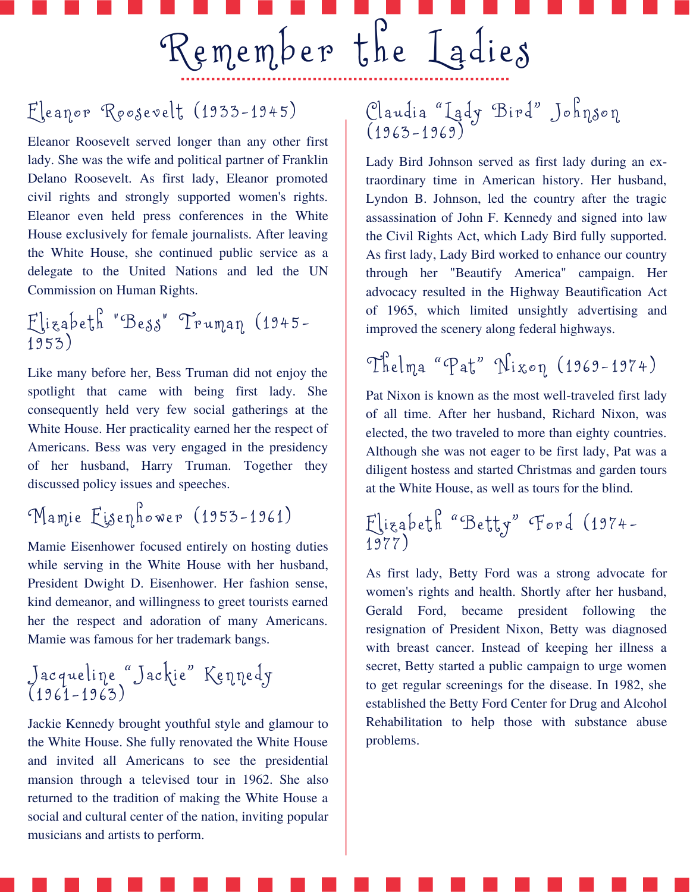## $F$ leanor Roosevelt (1933-1945)

Eleanor Roosevelt served longer than any other first lady. She was the wife and political partner of Franklin Delano Roosevelt. As first lady, Eleanor promoted civil rights and strongly supported women's rights. Eleanor even held press conferences in the White House exclusively for female journalists. After leaving the White House, she continued public service as a delegate to the United Nations and led the UN Commission on Human Rights.

Eli z abe t h "Be s s " Truman ( 1 945- 1 9 53)

Like many before her, Bess Truman did not enjoy the spotlight that came with being first lady. She consequently held very few social gatherings at the White House. Her practicality earned her the respect of Americans. Bess was very engaged in the presidency of her husband, Harry Truman. Together they discussed policy issues and speeches.

## Mamie  $F$ isenhower (1953-1961)

Mamie Eisenhower focused entirely on hosting duties while serving in the White House with her husband, President Dwight D. Eisenhower. Her fashion sense, kind demeanor, and willingness to greet tourists earned her the respect and adoration of many Americans. Mamie was famous for her trademark bangs.

Ja c que line "Ja c k i e " Kenne dy ( 1 9 6 1-1 9 63)

Jackie Kennedy brought youthful style and glamour to the White House. She fully renovated the White House and invited all Americans to see the presidential mansion through a televised tour in 1962. She also returned to the tradition of making the White House a social and cultural center of the nation, inviting popular musicians and artists to perform.

#### Claudia Lady Dird Johnson  $(1963 - 1969)$

Lady Bird Johnson served as first lady during an ex‐ traordinary time in American history. Her husband, Lyndon B. Johnson, led the country after the tragic assassination of John F. Kennedy and signed into law the Civil Rights Act, which Lady Bird fully supported. As first lady, Lady Bird worked to enhance our country through her "Beautify America" campaign. Her advocacy resulted in the Highway Beautification Act of 1965, which limited unsightly advertising and improved the scenery along federal highways.

# °1 helma "Yat" Wixon (1969-1974)

Pat Nixon is known as the most well-traveled first lady of all time. After her husband, Richard Nixon, was elected, the two traveled to more than eighty countries. Although she was not eager to be first lady, Pat was a diligent hostess and started Christmas and garden tours at the White House, as well as tours for the blind.

#### Llizabeth "Detty" 'ford (1974- $1977)$

As first lady, Betty Ford was a strong advocate for women's rights and health. Shortly after her husband, Gerald Ford, became president following the resignation of President Nixon, Betty was diagnosed with breast cancer. Instead of keeping her illness a secret, Betty started a public campaign to urge women to get regular screenings for the disease. In 1982, she established the Betty Ford Center for Drug and Alcohol Rehabilitation to help those with substance abuse problems.